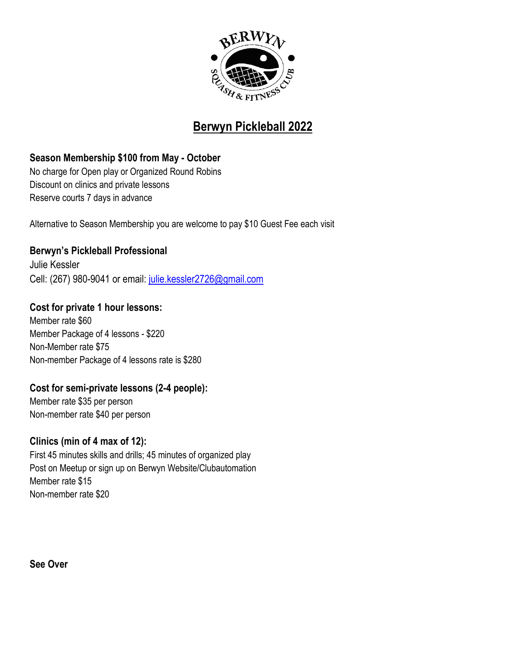

# **Berwyn Pickleball 2022**

## **Season Membership \$100 from May - October**

No charge for Open play or Organized Round Robins Discount on clinics and private lessons Reserve courts 7 days in advance

Alternative to Season Membership you are welcome to pay \$10 Guest Fee each visit

## **Berwyn's Pickleball Professional**

Julie Kessler Cell: (267) 980-9041 or email: [julie.kessler2726@gmail.com](mailto:julie.kessler2726@gmail.com)

### **Cost for private 1 hour lessons:**

Member rate \$60 Member Package of 4 lessons - \$220 Non-Member rate \$75 Non-member Package of 4 lessons rate is \$280

## **Cost for semi-private lessons (2-4 people):**

Member rate \$35 per person Non-member rate \$40 per person

### **Clinics (min of 4 max of 12):**

First 45 minutes skills and drills; 45 minutes of organized play Post on Meetup or sign up on Berwyn Website/Clubautomation Member rate \$15 Non-member rate \$20

**See Over**